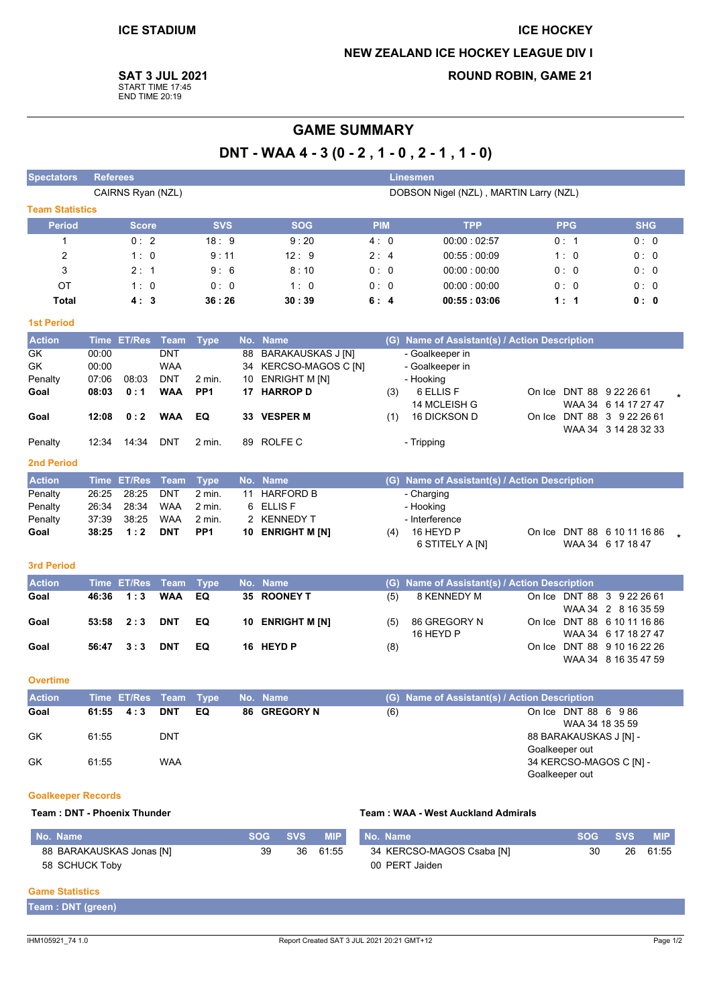# **ICE HOCKEY NEW ZEALAND ICE HOCKEY LEAGUE DIV I**

**SAT 3 JUL 2021** 

START TIME 17:45<br>END TIME 20:19

# **ROUND ROBIN, GAME 21**

# **GAME SUMMARY**

DNT - WAA 4 - 3 (0 - 2, 1 - 0, 2 - 1, 1 - 0)

| <b>Spectators</b>                                                                                        | <b>Referees</b>   |                       |                          |                           |          |                                     |                                        |     | <b>Linesmen</b>                               |                |                                                   |    |            |  |
|----------------------------------------------------------------------------------------------------------|-------------------|-----------------------|--------------------------|---------------------------|----------|-------------------------------------|----------------------------------------|-----|-----------------------------------------------|----------------|---------------------------------------------------|----|------------|--|
|                                                                                                          | CAIRNS Ryan (NZL) |                       |                          |                           |          |                                     | DOBSON Nigel (NZL), MARTIN Larry (NZL) |     |                                               |                |                                                   |    |            |  |
| <b>Team Statistics</b>                                                                                   |                   |                       |                          |                           |          |                                     |                                        |     |                                               |                |                                                   |    |            |  |
| <b>Period</b>                                                                                            |                   | <b>Score</b>          |                          | <b>SVS</b>                |          | <b>SOG</b>                          | <b>PIM</b>                             |     | <b>TPP</b>                                    |                | <b>PPG</b>                                        |    | <b>SHG</b> |  |
| $\mathbf{1}$                                                                                             |                   | 0:2                   |                          | 18:9                      |          | 9:20                                | 4:0                                    |     | 00:00:02:57                                   |                | 0: 1                                              |    | 0:0        |  |
| 2                                                                                                        |                   | 1:0                   |                          | 9:11                      |          | 12:9                                | 2:4                                    |     | 00:55:00:09                                   |                | 1:0                                               |    | 0:0        |  |
| 3                                                                                                        |                   | 2:1                   |                          | 9:6                       |          | 8:10                                | 0:0                                    |     | 00:00:00:00                                   |                | 0:0                                               |    | 0:0        |  |
| OT                                                                                                       |                   | 1:0                   |                          | 0:0                       |          | 1:0                                 | 0:0                                    |     | 00:00:00:00                                   |                | 0: 0                                              |    | 0:0        |  |
| <b>Total</b>                                                                                             |                   | 4:3                   |                          | 36:26                     |          | 30:39                               | 6:4                                    |     | 00:55:03:06                                   |                | 1:1                                               |    | 0: 0       |  |
|                                                                                                          |                   |                       |                          |                           |          |                                     |                                        |     |                                               |                |                                                   |    |            |  |
| <b>1st Period</b>                                                                                        |                   |                       |                          |                           |          |                                     |                                        |     |                                               |                |                                                   |    |            |  |
| <b>Action</b>                                                                                            | <b>Time</b>       | <b>ET/Res</b>         | <b>Team</b>              | <b>Type</b>               | No.      | <b>Name</b>                         |                                        | (G) | Name of Assistant(s) / Action Description     |                |                                                   |    |            |  |
| GK                                                                                                       | 00:00             |                       | <b>DNT</b>               |                           | 88       | <b>BARAKAUSKAS J [N]</b>            |                                        |     | - Goalkeeper in                               |                |                                                   |    |            |  |
| GK<br>Penalty                                                                                            | 00:00<br>07:06    | 08:03                 | <b>WAA</b><br><b>DNT</b> | 2 min.                    | 34<br>10 | KERCSO-MAGOS C [N]<br>ENRIGHT M [N] |                                        |     | - Goalkeeper in<br>- Hooking                  |                |                                                   |    |            |  |
| Goal                                                                                                     | 08:03             | 0:1                   | <b>WAA</b>               | PP <sub>1</sub>           | 17       | <b>HARROP D</b>                     |                                        | (3) | 6 ELLIS F                                     |                | On Ice DNT 88 9 22 26 61                          |    |            |  |
|                                                                                                          |                   |                       |                          |                           |          |                                     |                                        |     | 14 MCLEISH G                                  |                | WAA 34 6 14 17 27 47                              |    |            |  |
| Goal                                                                                                     | 12:08             | 0:2                   | <b>WAA</b>               | EQ                        |          | 33 VESPER M                         |                                        | (1) | <b>16 DICKSON D</b>                           |                | On Ice DNT 88 3 9 22 26 61                        |    |            |  |
|                                                                                                          |                   |                       |                          |                           |          |                                     |                                        |     |                                               |                | WAA 34 3 14 28 32 33                              |    |            |  |
| Penalty                                                                                                  | 12:34             | 14:34                 | <b>DNT</b>               | 2 min.                    |          | 89 ROLFE C                          |                                        |     | - Tripping                                    |                |                                                   |    |            |  |
| <b>2nd Period</b>                                                                                        |                   |                       |                          |                           |          |                                     |                                        |     |                                               |                |                                                   |    |            |  |
| <b>Action</b>                                                                                            |                   | Time ET/Res           | <b>Team</b>              | <b>Type</b>               |          | No. Name                            |                                        |     | (G) Name of Assistant(s) / Action Description |                |                                                   |    |            |  |
| Penalty                                                                                                  | 26:25             | 28:25                 | <b>DNT</b>               | 2 min.                    | 11       | <b>HARFORD B</b>                    |                                        |     | - Charging                                    |                |                                                   |    |            |  |
| Penalty                                                                                                  | 26:34             | 28:34                 | <b>WAA</b>               | 2 min.                    |          | 6 ELLIS F                           |                                        |     | - Hooking                                     |                |                                                   |    |            |  |
| Penalty<br>Goal                                                                                          | 37:39<br>38:25    | 38:25<br>1:2          | <b>WAA</b><br><b>DNT</b> | 2 min.<br>PP <sub>1</sub> |          | 2 KENNEDY T<br>10 ENRIGHT M [N]     |                                        | (4) | - Interference<br>16 HEYD P                   |                | On Ice DNT 88 6 10 11 16 86                       |    |            |  |
|                                                                                                          |                   |                       |                          |                           |          |                                     |                                        |     | 6 STITELY A [N]                               |                | WAA 34 6 17 18 47                                 |    |            |  |
|                                                                                                          |                   |                       |                          |                           |          |                                     |                                        |     |                                               |                |                                                   |    |            |  |
| <b>3rd Period</b>                                                                                        |                   |                       |                          |                           |          |                                     |                                        |     |                                               |                |                                                   |    |            |  |
| <b>Action</b>                                                                                            |                   | Time ET/Res           | <b>Team</b>              | <b>Type</b>               |          | No. Name                            |                                        | (G) | Name of Assistant(s) / Action Description     |                |                                                   |    |            |  |
| Goal                                                                                                     | 46:36             | 1:3                   | <b>WAA</b>               | EQ                        |          | 35 ROONEY T                         |                                        | (5) | 8 KENNEDY M                                   |                | On Ice DNT 88 3 9 22 26 61<br>WAA 34 2 8 16 35 59 |    |            |  |
| Goal                                                                                                     | 53:58             | 2:3                   | <b>DNT</b>               | EQ                        | 10       | <b>ENRIGHT M [N]</b>                |                                        | (5) | 86 GREGORY N                                  |                | On Ice DNT 88 6 10 11 16 86                       |    |            |  |
|                                                                                                          |                   |                       |                          |                           |          |                                     |                                        |     | 16 HEYD P                                     |                | WAA 34 6 17 18 27 47                              |    |            |  |
| Goal                                                                                                     | 56:47             | 3:3                   | <b>DNT</b>               | EQ                        |          | 16 HEYD P                           |                                        | (8) |                                               |                | On Ice DNT 88 9 10 16 22 26                       |    |            |  |
|                                                                                                          |                   |                       |                          |                           |          |                                     |                                        |     |                                               |                | WAA 34 8 16 35 47 59                              |    |            |  |
| <b>Overtime</b>                                                                                          |                   |                       |                          |                           |          |                                     |                                        |     |                                               |                |                                                   |    |            |  |
| <b>Action</b>                                                                                            |                   | Time ET/Res Team Type |                          |                           |          | No. Name                            |                                        |     | (G) Name of Assistant(s) / Action Description |                |                                                   |    |            |  |
| Goal                                                                                                     | 61:55             | 4:3                   | <b>DNT</b>               | EQ                        |          | 86 GREGORY N                        |                                        | (6) |                                               |                | On Ice DNT 88 6 9 86                              |    |            |  |
|                                                                                                          |                   |                       |                          |                           |          |                                     |                                        |     |                                               |                | WAA 34 18 35 59                                   |    |            |  |
| GK                                                                                                       | 61:55             |                       | <b>DNT</b>               |                           |          |                                     |                                        |     |                                               | Goalkeeper out | 88 BARAKAUSKAS J [N] -                            |    |            |  |
| GK                                                                                                       | 61:55             |                       | <b>WAA</b>               |                           |          |                                     |                                        |     |                                               |                | 34 KERCSO-MAGOS C [N] -                           |    |            |  |
|                                                                                                          |                   |                       |                          |                           |          |                                     |                                        |     |                                               | Goalkeeper out |                                                   |    |            |  |
| <b>Goalkeeper Records</b>                                                                                |                   |                       |                          |                           |          |                                     |                                        |     |                                               |                |                                                   |    |            |  |
| <b>Team: DNT - Phoenix Thunder</b><br>Team: WAA - West Auckland Admirals                                 |                   |                       |                          |                           |          |                                     |                                        |     |                                               |                |                                                   |    |            |  |
|                                                                                                          |                   |                       |                          |                           |          |                                     |                                        |     |                                               |                |                                                   |    |            |  |
| <b>SVS</b><br><b>MIP</b><br><b>SVS</b><br>No. Name<br><b>SOG</b><br>No. Name<br><b>SOG</b><br><b>MIP</b> |                   |                       |                          |                           |          |                                     |                                        |     |                                               |                |                                                   |    |            |  |
| 88 BARAKAUSKAS Jonas [N]                                                                                 |                   |                       |                          |                           |          | 61:55<br>39<br>36                   |                                        |     | 34 KERCSO-MAGOS Csaba [N]                     |                | 30                                                | 26 | 61:55      |  |
| 58 SCHUCK Toby                                                                                           |                   |                       |                          |                           |          |                                     |                                        |     | 00 PERT Jaiden                                |                |                                                   |    |            |  |
| <b>Game Statistics</b>                                                                                   |                   |                       |                          |                           |          |                                     |                                        |     |                                               |                |                                                   |    |            |  |
| Team : DNT (green)                                                                                       |                   |                       |                          |                           |          |                                     |                                        |     |                                               |                |                                                   |    |            |  |